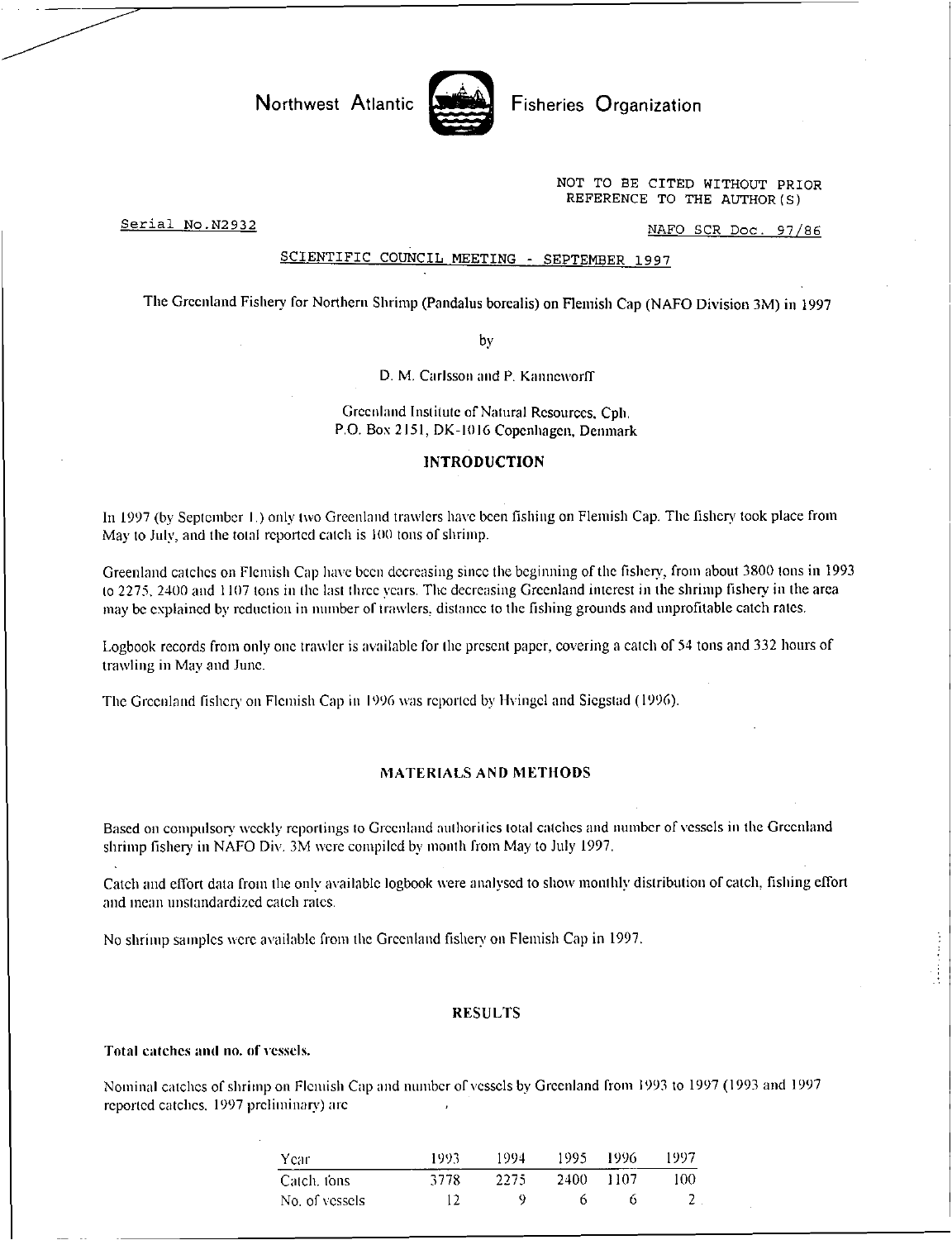

Northwest Atlantic **Allen Report Atlantic** Fisheries Organization

NOT TO BE CITED WITHOUT PRIOR REFERENCE TO THE AUTHOR (S)

Serial No. N2932 NAFO SCR Doc. 97/86

## SCIENTIFIC COUNCIL MEETING - SEPTEMBER 1997

The Greenland Fishery for Northern Shrimp (Pandalus borealis) on Flemish Cap (NAFO Division 3M) in 1997

by

D. M. Carlsson and P. Kanneworff

Greenland Institute of Natural Resources, Cph. P.O. Box 2151, DK-I0 16 Copenhagen, Denmark

## INTRODUCTION

In 1997 (by September I.) only two Greenland trawlers have been fishing on Flemish Cap. The fishery took place from May to July, and the total reported catch is 100 tons of shrimp.

Greenland catches on Flemish Cap have been decreasing since the beginning of the fishery, from about 3800 tons in 1993 to 2275. 2400 and 1107 tons in the last three years. The decreasing Greenland interest in the shrimp fishery in the area may be explained by reduction in number of trawlers, distance to the fishing grounds and unprofitable catch rates.

Logbook records from only one trawler is available for the present paper, covering a catch of 54 tons and 332 hours of trawling in May and June.

The Greenland fishery on Flemish Cap in 1996 was reported by Hvingel and Siegstad (1996).

#### MATERIALS AND METHODS

Based on compulsory weekly reportings to Greenland authorities total catches and number of vessels in the Greenland shrimp fishery in NAFO Div. 3M were compiled by month from May to July 1997.

Catch and effort data from the only available logbook were analysed to show monthly distribution of catch, fishing effort and mean unstandardized catch rates.

No shrimp samples were available from the Greenland fishery on Flemish Cap in 1997.

#### RESULTS

Total catches and no. of vessels.

Nominal catches of shrimp on Flemish Cap and number of vessels by Greenland from 1993 to 1997 (1993 and 1997 reported catches. 1997 preliminary) are

| Year           | 1993 | 1994 | 1995 - | 1996 | 1997 |
|----------------|------|------|--------|------|------|
| -Catch, tons   | 3778 | 2275 | 2400.  | 1107 | 100  |
| No. of vessels | 12   | u    | 6      |      |      |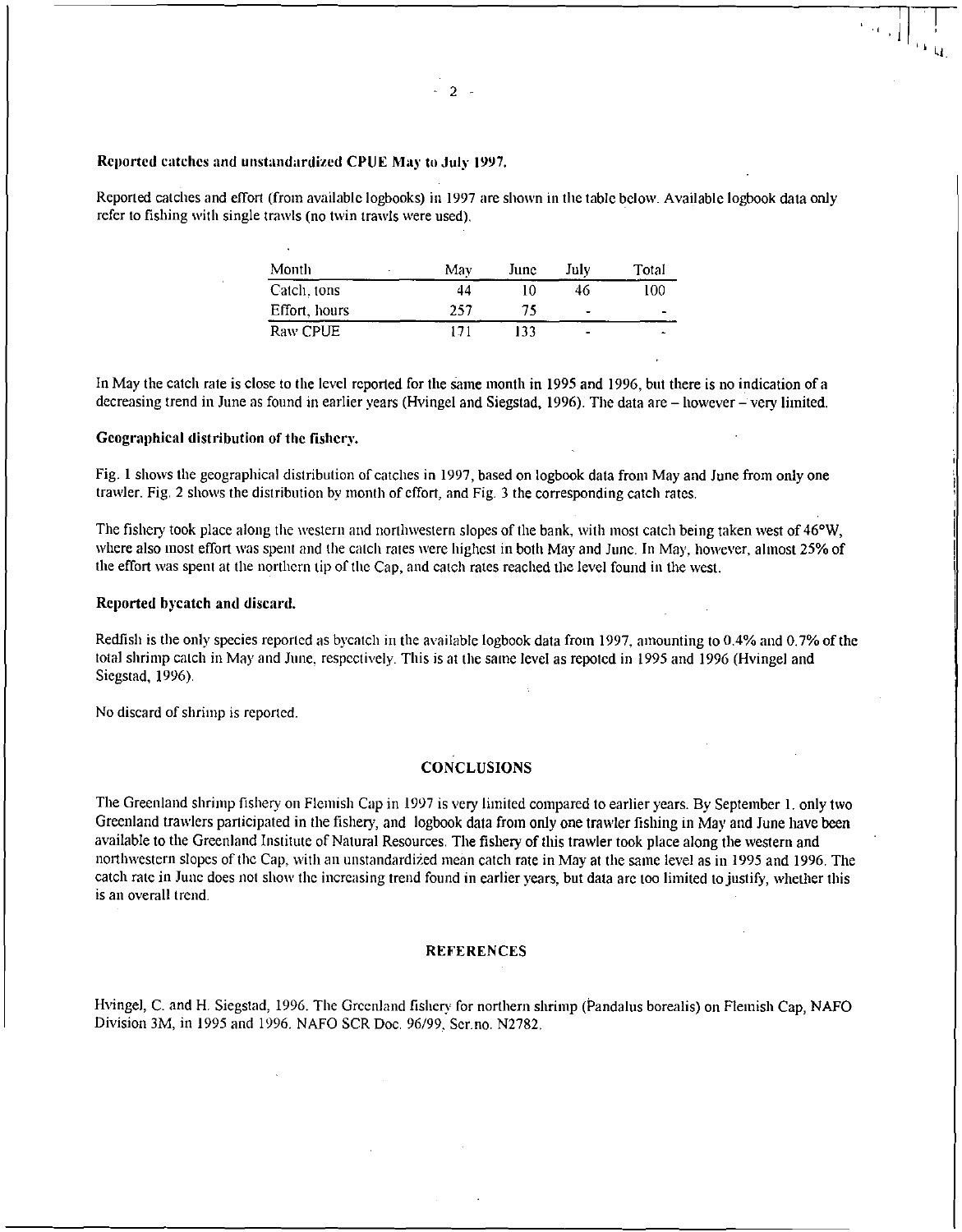## Reported catches and unstandardized CPUE May to July 1997.

Reported catches and effort (from available logbooks) in 1997 are shown in the table below. Available logbook data only refer to fishing with single trawls (no twin trawls were used).

| Month         | May | June | July                     | Total |
|---------------|-----|------|--------------------------|-------|
| Catch, tons   | 44  | 10   | 46                       | 100   |
| Effort, hours | 257 | 75   | $\overline{\phantom{0}}$ |       |
| Raw CPUE      |     | 133  | $\blacksquare$           |       |

In May the catch rate is close to the level reported for the Same month in 1995 and 1996, but there is no indication of a decreasing trend in June as found in earlier years (Hvingel and Siegstad, 1996). The data are — however — very limited.

#### Geographical distribution of the fishery.

Fig. 1 shows the geographical distribution of catches in 1997, based on logbook data from May and June from only one trawler. Fig. 2 shows the distribution by month of effort, and Fig. 3 the corresponding catch rates.

The fishery took place along the western and northwestern slopes of the bank, with most catch being taken west of 46°W, where also most effort was spent and the catch rates were highest in both May and June. In May, however, almost 25% of the effort was spent at the northern tip of the Cap, and catch rates reached the level found in the west.

#### Reported bycatch and discard.

Redfish is the only species reported as bycatch in the available logbook data from 1997, amounting to 0.4% and 0.7% of the total shrimp catch in May and June, respectively. This is at the same level as repoted in 1995 and 1996 (Hvingel and Sicgstad, 1996).

No discard of shrimp is reported.

## **CONCLUSIONS**

The Greenland shrimp fishery on Flemish Cap in 1997 is very limited compared to earlier years. By September 1. only two Greenland trawlers participated in the fishery, and logbook data from only one trawler fishing in May and June have been available to the Greenland Institute of Natural Resources. The fishery of this trawler took place along the western and northwestern slopes of the Cap, with an unstandardized mean catch rate in May at the same level as in 1995 and 1996. The catch rate in June does not show the increasing trend found in earlier years, but data are too limited to justify, whether this is an overall trend.

#### **REFERENCES**

Hvingel, C. and H. Siegstad, 1996. The Greenland fishery for northern shrimp (Pandalus borealis) on Flemish Cap, NAFO Division 3M, in 1995 and 1996. NAFO SCR Doc. 96/99, Ser.no. N2782.

 $-2 -$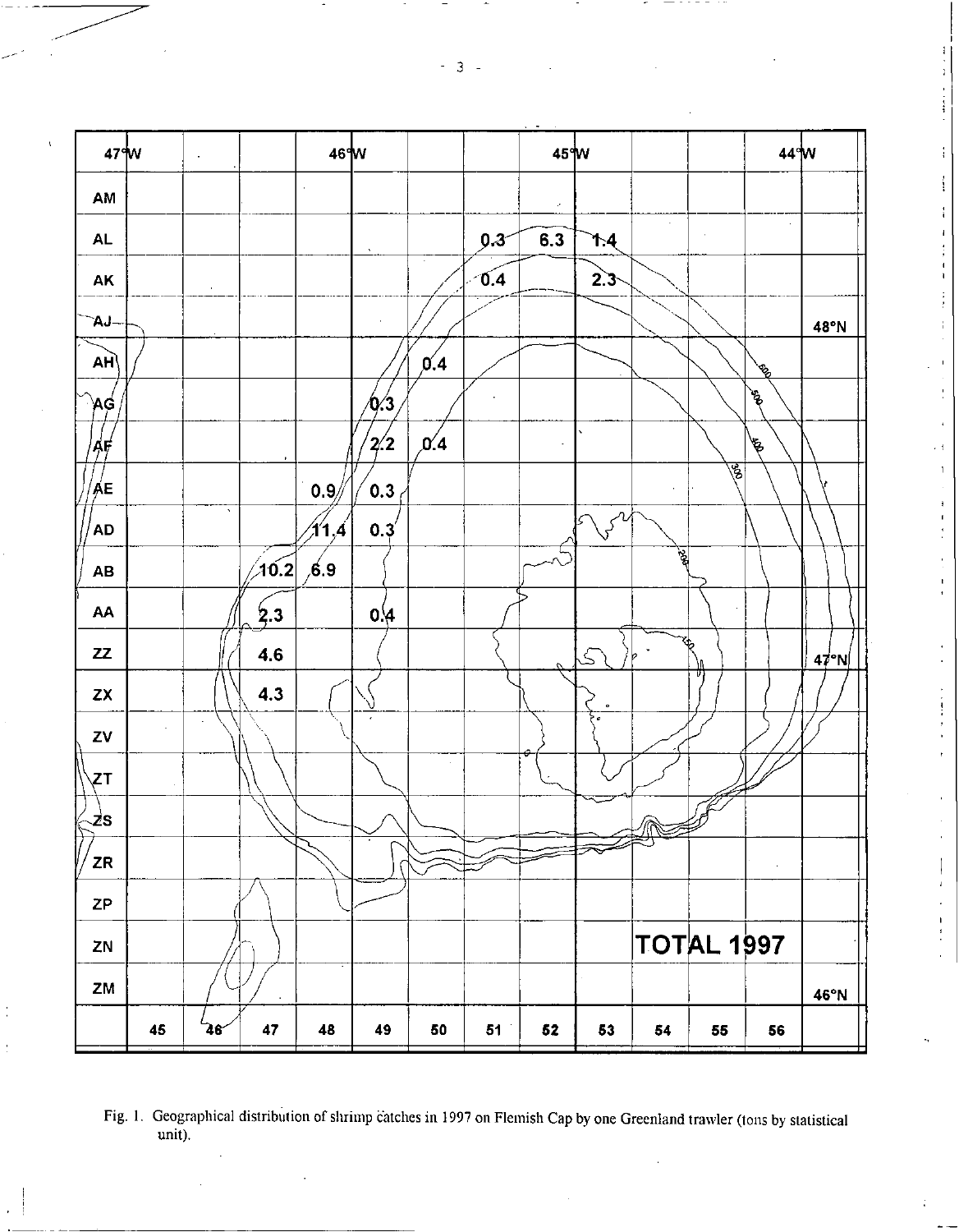$-3 -$ 



 $\overline{1}$ 

Fig. 1. Geographical distribution of shrimp catches in 1997 on Flemish Cap by one Greenland trawler (tons by statistical unit).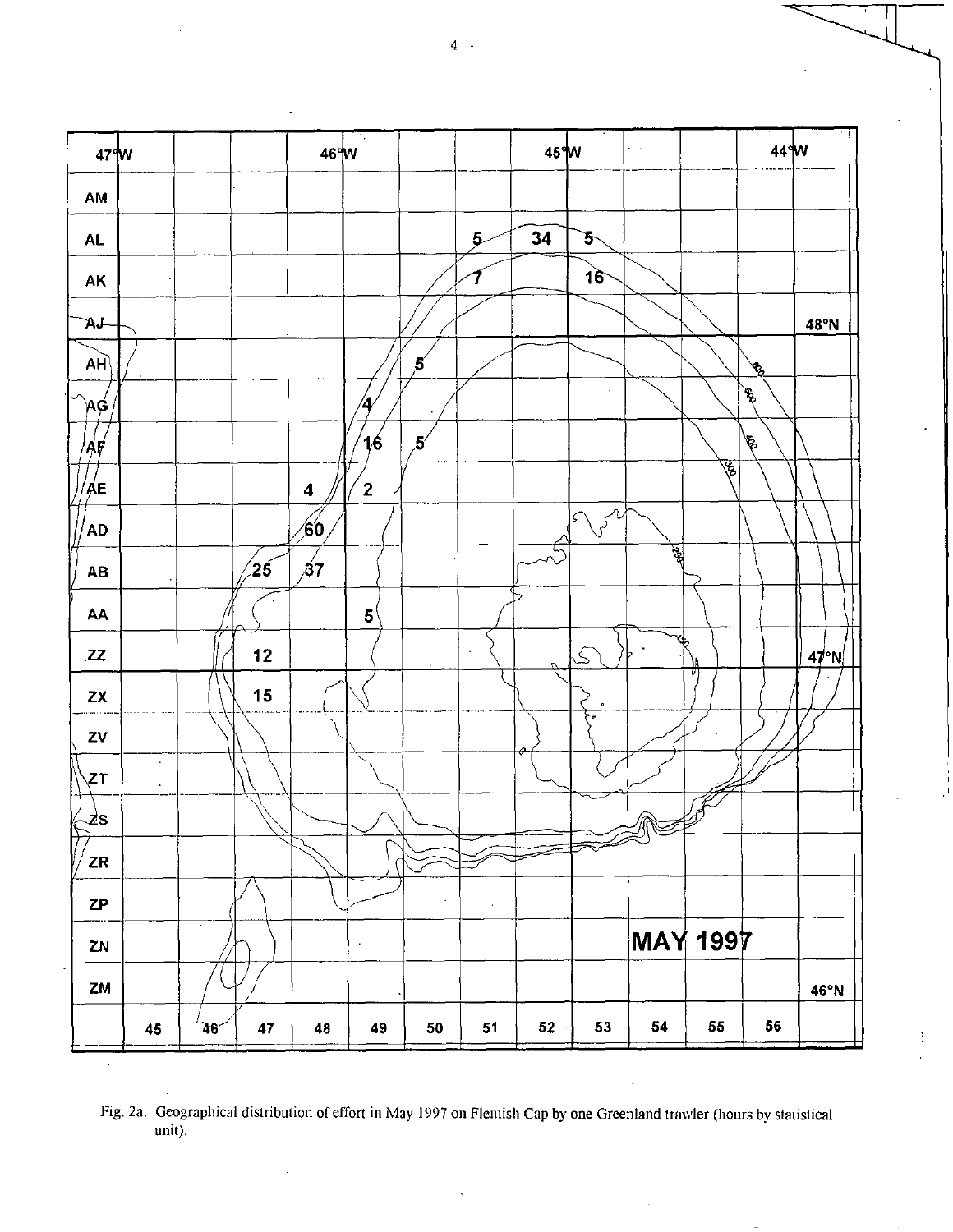

Fig. 2a. Geographical distribution of effort in May 1997 on Flemish Cap by one Greenland trawler (hours by statistical unit).

 $4 -$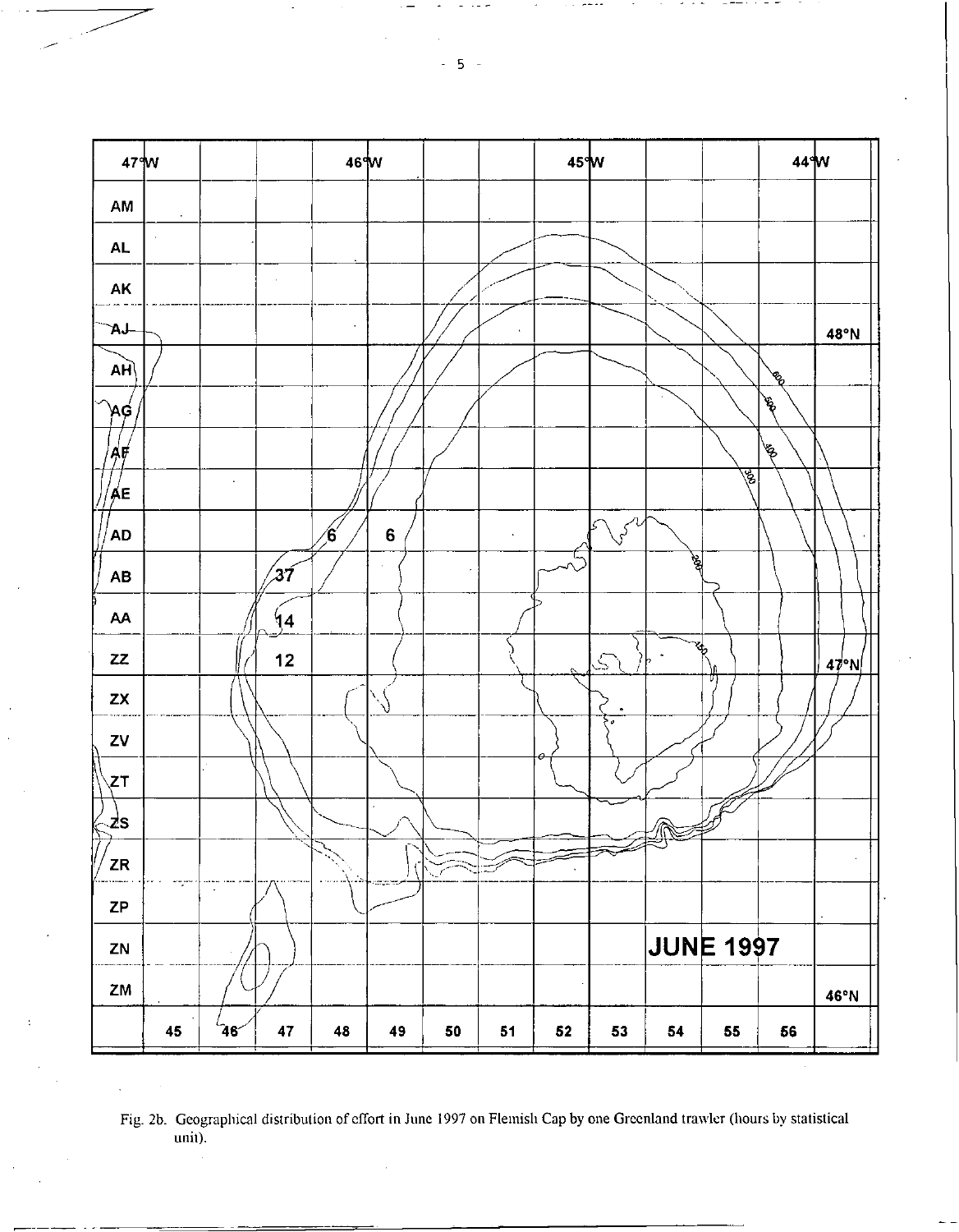

Fig. 2b. Geographical distribution of effort in June 1997 on Flemish Cap by one Greenland trawler (hours by statistical  $unii)$ .

 $-5 -$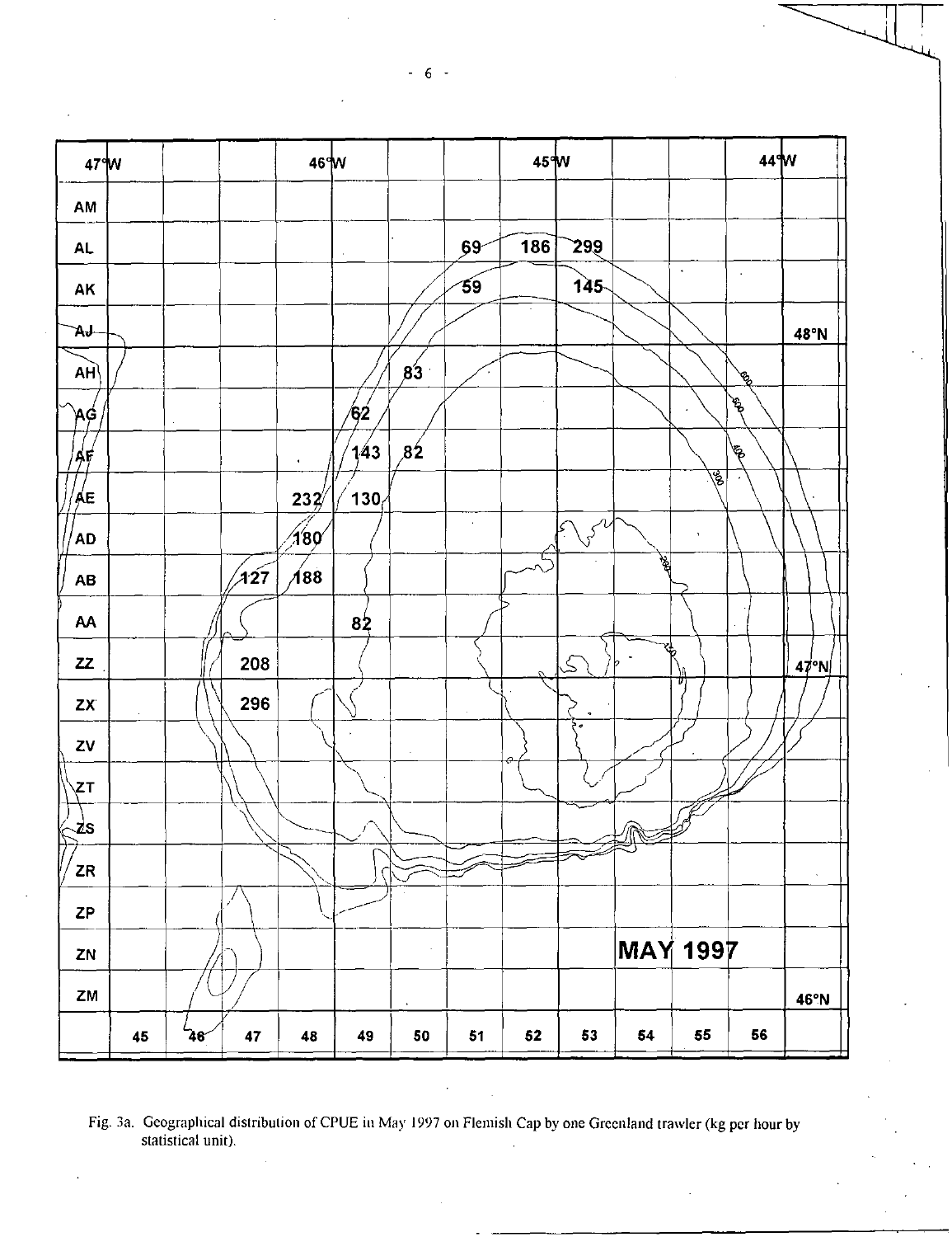

Fig. 3a. Geographical distribution of CPUE in May 1997 on Flemish Cap by one Greenland trawler (kg per hour by statistical unit).